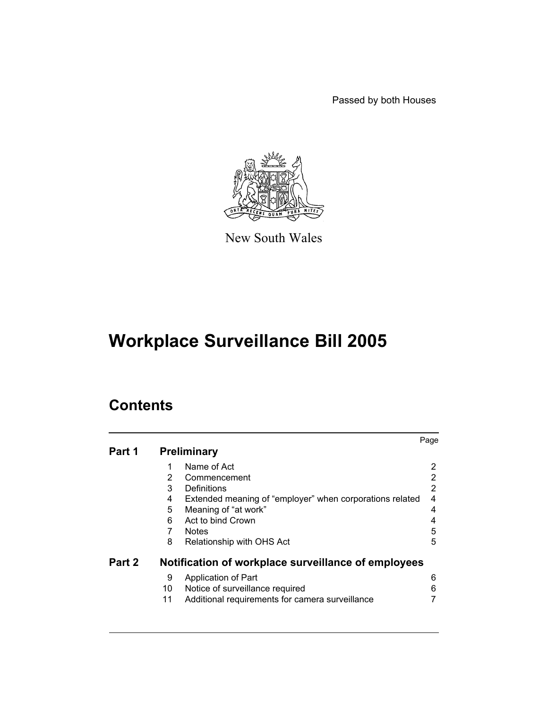Passed by both Houses



New South Wales

# **Workplace Surveillance Bill 2005**

# **Contents**

|        |    |                                                          | Page |
|--------|----|----------------------------------------------------------|------|
| Part 1 |    | <b>Preliminary</b>                                       |      |
|        | 1  | Name of Act                                              | 2    |
|        | 2  | Commencement                                             | 2    |
|        | 3  | Definitions                                              | 2    |
|        | 4  | Extended meaning of "employer" when corporations related | 4    |
|        | 5  | Meaning of "at work"                                     | 4    |
|        | 6  | Act to bind Crown                                        | 4    |
|        |    | <b>Notes</b>                                             | 5    |
|        | 8  | Relationship with OHS Act                                | 5    |
| Part 2 |    | Notification of workplace surveillance of employees      |      |
|        | 9  | Application of Part                                      | 6    |
|        | 10 | Notice of surveillance required                          | 6    |
|        | 11 | Additional requirements for camera surveillance          |      |
|        |    |                                                          |      |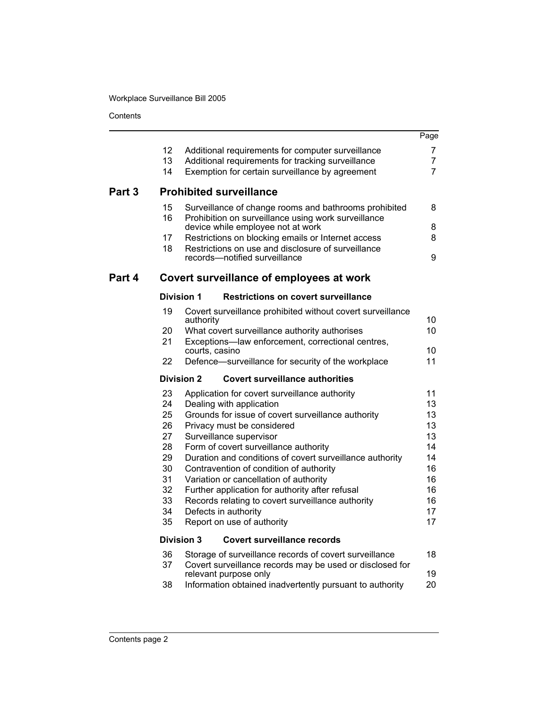Workplace Surveillance Bill 2005

**Contents** 

|        |          |                                                                                                              | Page                             |
|--------|----------|--------------------------------------------------------------------------------------------------------------|----------------------------------|
|        | 12       | Additional requirements for computer surveillance                                                            | 7                                |
|        | 13<br>14 | Additional requirements for tracking surveillance<br>Exemption for certain surveillance by agreement         | $\overline{7}$<br>$\overline{7}$ |
| Part 3 |          | <b>Prohibited surveillance</b>                                                                               |                                  |
|        | 15<br>16 | Surveillance of change rooms and bathrooms prohibited<br>Prohibition on surveillance using work surveillance | 8                                |
|        |          | device while employee not at work                                                                            | 8                                |
|        | 17<br>18 | Restrictions on blocking emails or Internet access                                                           | 8                                |
|        |          | Restrictions on use and disclosure of surveillance<br>records-notified surveillance                          | 9                                |
| Part 4 |          | Covert surveillance of employees at work                                                                     |                                  |
|        |          | <b>Division 1</b><br><b>Restrictions on covert surveillance</b>                                              |                                  |
|        | 19       | Covert surveillance prohibited without covert surveillance                                                   |                                  |
|        | 20       | authority<br>What covert surveillance authority authorises                                                   | 10<br>10                         |
|        | 21       | Exceptions-law enforcement, correctional centres,                                                            |                                  |
|        | 22       | courts, casino<br>Defence-surveillance for security of the workplace                                         | 10<br>11                         |
|        |          |                                                                                                              |                                  |
|        |          | <b>Division 2</b><br><b>Covert surveillance authorities</b>                                                  |                                  |
|        | 23<br>24 | Application for covert surveillance authority                                                                | 11<br>13                         |
|        | 25       | Dealing with application<br>Grounds for issue of covert surveillance authority                               | 13                               |
|        | 26       | Privacy must be considered                                                                                   | 13                               |
|        | 27       | Surveillance supervisor                                                                                      | 13                               |
|        | 28       | Form of covert surveillance authority                                                                        | 14                               |
|        | 29       | Duration and conditions of covert surveillance authority                                                     | 14                               |
|        | 30       | Contravention of condition of authority                                                                      | 16                               |
|        | 31       | Variation or cancellation of authority                                                                       | 16                               |
|        | 32       | Further application for authority after refusal                                                              | 16                               |
|        | 33       | Records relating to covert surveillance authority                                                            | 16                               |
|        | 34       | Defects in authority                                                                                         | 17                               |
|        | 35       | Report on use of authority                                                                                   | 17                               |
|        |          | <b>Division 3</b><br>Covert surveillance records                                                             |                                  |
|        | 36       | Storage of surveillance records of covert surveillance                                                       | 18                               |
|        | 37       | Covert surveillance records may be used or disclosed for<br>relevant purpose only                            | 19                               |
|        | 38       | Information obtained inadvertently pursuant to authority                                                     | 20                               |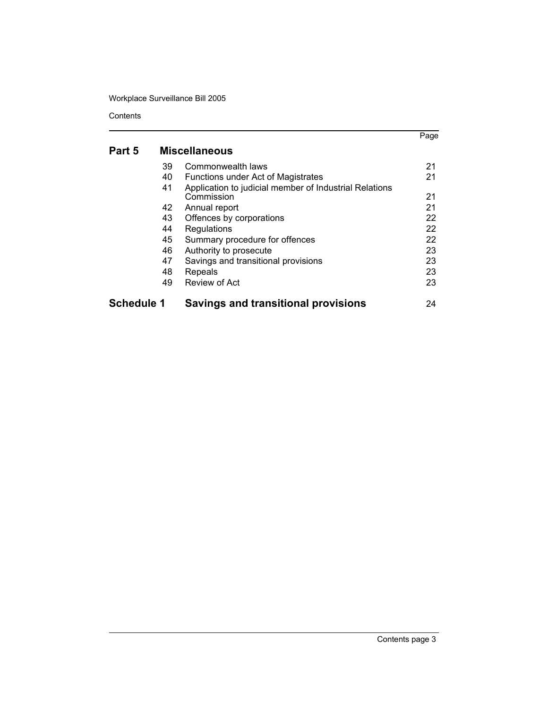Workplace Surveillance Bill 2005

**Contents** 

# **[Part 5 Mis](#page-23-2)c[ellaneous](#page-23-2)**

| 49 | Review of Act                                                        | 23<br>23<br>24                                        |
|----|----------------------------------------------------------------------|-------------------------------------------------------|
| 47 | Savings and transitional provisions                                  | 23                                                    |
| 46 | Authority to prosecute                                               | 23                                                    |
| 45 | Summary procedure for offences                                       | 22                                                    |
| 44 | Regulations                                                          | 22                                                    |
| 43 | Offences by corporations                                             | 22                                                    |
| 42 | Annual report                                                        | 21                                                    |
| 41 | Application to judicial member of Industrial Relations<br>Commission | 21                                                    |
| 40 | <b>Functions under Act of Magistrates</b>                            | 21                                                    |
| 39 | Commonwealth laws                                                    | 21                                                    |
|    | 48<br><b>Schedule 1</b>                                              | Repeals<br><b>Savings and transitional provisions</b> |

[Page](#page-23-0)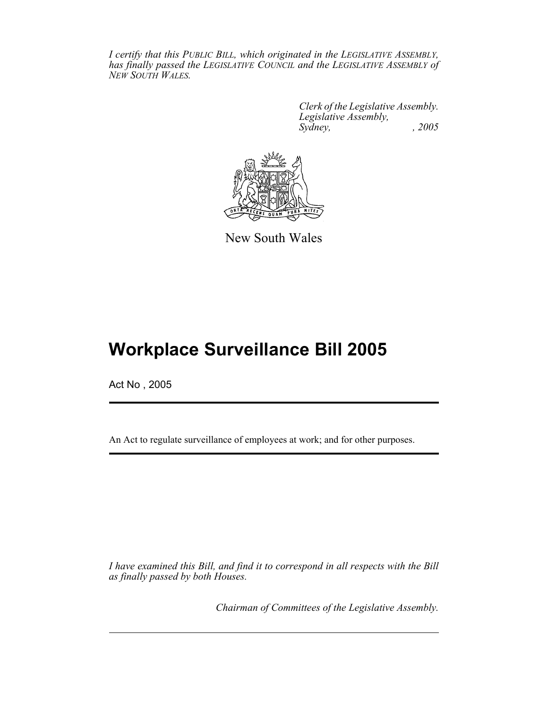*I certify that this PUBLIC BILL, which originated in the LEGISLATIVE ASSEMBLY, has finally passed the LEGISLATIVE COUNCIL and the LEGISLATIVE ASSEMBLY of NEW SOUTH WALES.*

> *Clerk of the Legislative Assembly. Legislative Assembly, Sydney, , 2005*



New South Wales

# **Workplace Surveillance Bill 2005**

Act No , 2005

An Act to regulate surveillance of employees at work; and for other purposes.

*I have examined this Bill, and find it to correspond in all respects with the Bill as finally passed by both Houses.*

*Chairman of Committees of the Legislative Assembly.*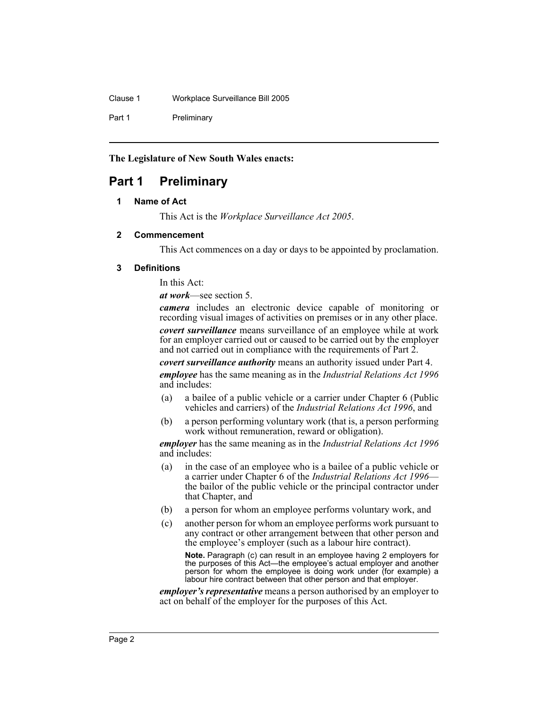Clause 1 Workplace Surveillance Bill 2005

Part 1 Preliminary

# **The Legislature of New South Wales enacts:**

# <span id="page-4-0"></span>**Part 1 Preliminary**

# **1 Name of Act**

This Act is the *Workplace Surveillance Act 2005*.

# <span id="page-4-1"></span>**2 Commencement**

This Act commences on a day or days to be appointed by proclamation.

# <span id="page-4-2"></span>**3 Definitions**

In this Act:

*at work*—see section 5.

*camera* includes an electronic device capable of monitoring or recording visual images of activities on premises or in any other place.

*covert surveillance* means surveillance of an employee while at work for an employer carried out or caused to be carried out by the employer and not carried out in compliance with the requirements of Part 2.

*covert surveillance authority* means an authority issued under Part 4.

*employee* has the same meaning as in the *Industrial Relations Act 1996* and includes:

- (a) a bailee of a public vehicle or a carrier under Chapter 6 (Public vehicles and carriers) of the *Industrial Relations Act 1996*, and
- (b) a person performing voluntary work (that is, a person performing work without remuneration, reward or obligation).

*employer* has the same meaning as in the *Industrial Relations Act 1996* and includes:

- (a) in the case of an employee who is a bailee of a public vehicle or a carrier under Chapter 6 of the *Industrial Relations Act 1996* the bailor of the public vehicle or the principal contractor under that Chapter, and
- (b) a person for whom an employee performs voluntary work, and
- (c) another person for whom an employee performs work pursuant to any contract or other arrangement between that other person and the employee's employer (such as a labour hire contract).

**Note.** Paragraph (c) can result in an employee having 2 employers for the purposes of this Act—the employee's actual employer and another person for whom the employee is doing work under (for example) a labour hire contract between that other person and that employer.

*employer's representative* means a person authorised by an employer to act on behalf of the employer for the purposes of this Act.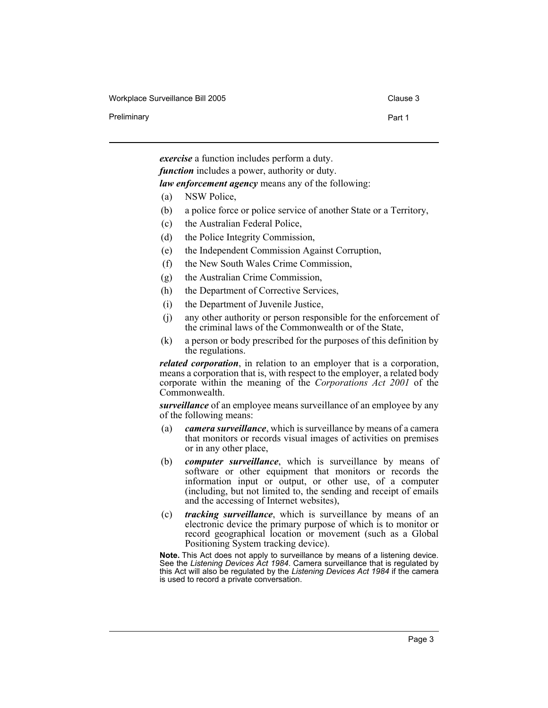Workplace Surveillance Bill 2005 Clause 3

Preliminary **Preliminary** Part 1

*exercise* a function includes perform a duty. *function* includes a power, authority or duty. *law enforcement agency* means any of the following:

- (a) NSW Police,
- (b) a police force or police service of another State or a Territory,
- (c) the Australian Federal Police,
- (d) the Police Integrity Commission,
- (e) the Independent Commission Against Corruption,
- (f) the New South Wales Crime Commission,
- (g) the Australian Crime Commission,
- (h) the Department of Corrective Services,
- (i) the Department of Juvenile Justice,
- (j) any other authority or person responsible for the enforcement of the criminal laws of the Commonwealth or of the State,
- (k) a person or body prescribed for the purposes of this definition by the regulations.

*related corporation*, in relation to an employer that is a corporation, means a corporation that is, with respect to the employer, a related body corporate within the meaning of the *Corporations Act 2001* of the Commonwealth.

*surveillance* of an employee means surveillance of an employee by any of the following means:

- (a) *camera surveillance*, which is surveillance by means of a camera that monitors or records visual images of activities on premises or in any other place,
- (b) *computer surveillance*, which is surveillance by means of software or other equipment that monitors or records the information input or output, or other use, of a computer (including, but not limited to, the sending and receipt of emails and the accessing of Internet websites),
- (c) *tracking surveillance*, which is surveillance by means of an electronic device the primary purpose of which is to monitor or record geographical location or movement (such as a Global Positioning System tracking device).

**Note.** This Act does not apply to surveillance by means of a listening device. See the *Listening Devices Act 1984*. Camera surveillance that is regulated by this Act will also be regulated by the *Listening Devices Act 1984* if the camera is used to record a private conversation.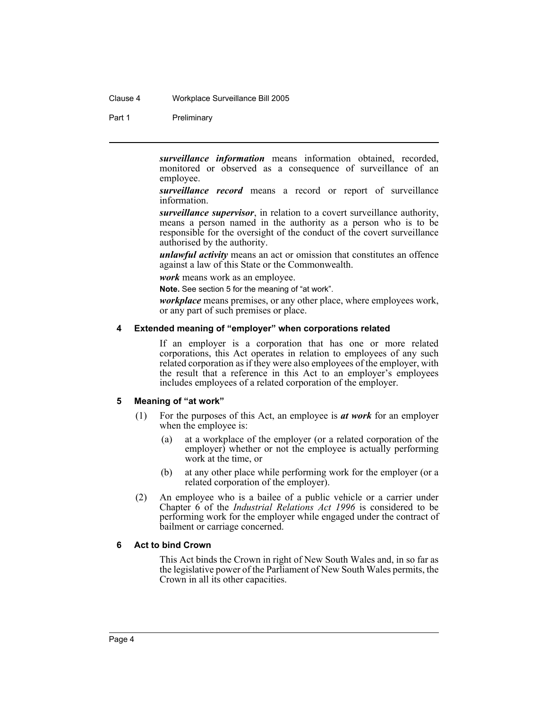#### Clause 4 Workplace Surveillance Bill 2005

Part 1 Preliminary

*surveillance information* means information obtained, recorded, monitored or observed as a consequence of surveillance of an employee.

*surveillance record* means a record or report of surveillance information.

*surveillance supervisor*, in relation to a covert surveillance authority, means a person named in the authority as a person who is to be responsible for the oversight of the conduct of the covert surveillance authorised by the authority.

*unlawful activity* means an act or omission that constitutes an offence against a law of this State or the Commonwealth.

*work* means work as an employee.

**Note.** See section 5 for the meaning of "at work".

*workplace* means premises, or any other place, where employees work, or any part of such premises or place.

### <span id="page-6-0"></span>**4 Extended meaning of "employer" when corporations related**

If an employer is a corporation that has one or more related corporations, this Act operates in relation to employees of any such related corporation as if they were also employees of the employer, with the result that a reference in this Act to an employer's employees includes employees of a related corporation of the employer.

#### <span id="page-6-1"></span>**5 Meaning of "at work"**

- (1) For the purposes of this Act, an employee is *at work* for an employer when the employee is:
	- (a) at a workplace of the employer (or a related corporation of the employer) whether or not the employee is actually performing work at the time, or
	- (b) at any other place while performing work for the employer (or a related corporation of the employer).
- (2) An employee who is a bailee of a public vehicle or a carrier under Chapter 6 of the *Industrial Relations Act 1996* is considered to be performing work for the employer while engaged under the contract of bailment or carriage concerned.

#### <span id="page-6-2"></span>**6 Act to bind Crown**

This Act binds the Crown in right of New South Wales and, in so far as the legislative power of the Parliament of New South Wales permits, the Crown in all its other capacities.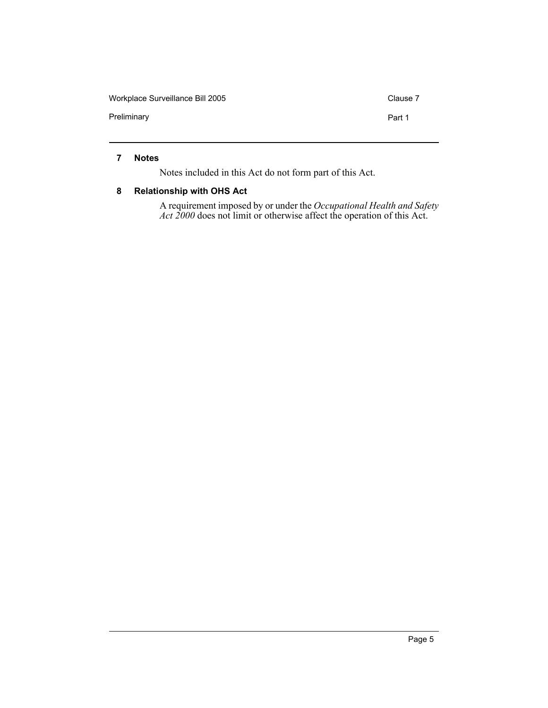Workplace Surveillance Bill 2005 Clause 7 Preliminary **Preliminary Part 1** 

# <span id="page-7-0"></span>**7 Notes**

Notes included in this Act do not form part of this Act.

### <span id="page-7-1"></span>**8 Relationship with OHS Act**

A requirement imposed by or under the *Occupational Health and Safety Act 2000* does not limit or otherwise affect the operation of this Act.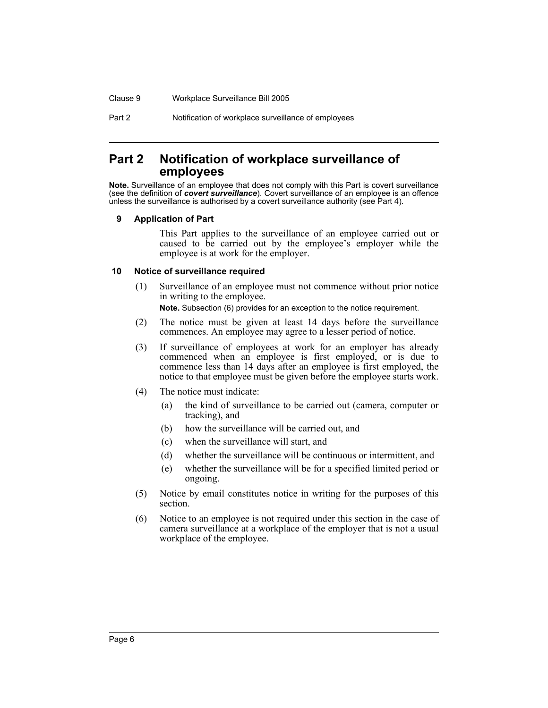Clause 9 Workplace Surveillance Bill 2005

Part 2 Notification of workplace surveillance of employees

# <span id="page-8-0"></span>**Part 2 Notification of workplace surveillance of employees**

**Note.** Surveillance of an employee that does not comply with this Part is covert surveillance (see the definition of *covert surveillance*). Covert surveillance of an employee is an offence unless the surveillance is authorised by a covert surveillance authority (see Part 4).

#### <span id="page-8-1"></span>**9 Application of Part**

This Part applies to the surveillance of an employee carried out or caused to be carried out by the employee's employer while the employee is at work for the employer.

#### <span id="page-8-2"></span>**10 Notice of surveillance required**

(1) Surveillance of an employee must not commence without prior notice in writing to the employee.

**Note.** Subsection (6) provides for an exception to the notice requirement.

- (2) The notice must be given at least 14 days before the surveillance commences. An employee may agree to a lesser period of notice.
- (3) If surveillance of employees at work for an employer has already commenced when an employee is first employed, or is due to commence less than 14 days after an employee is first employed, the notice to that employee must be given before the employee starts work.
- (4) The notice must indicate:
	- (a) the kind of surveillance to be carried out (camera, computer or tracking), and
	- (b) how the surveillance will be carried out, and
	- (c) when the surveillance will start, and
	- (d) whether the surveillance will be continuous or intermittent, and
	- (e) whether the surveillance will be for a specified limited period or ongoing.
- (5) Notice by email constitutes notice in writing for the purposes of this section.
- (6) Notice to an employee is not required under this section in the case of camera surveillance at a workplace of the employer that is not a usual workplace of the employee.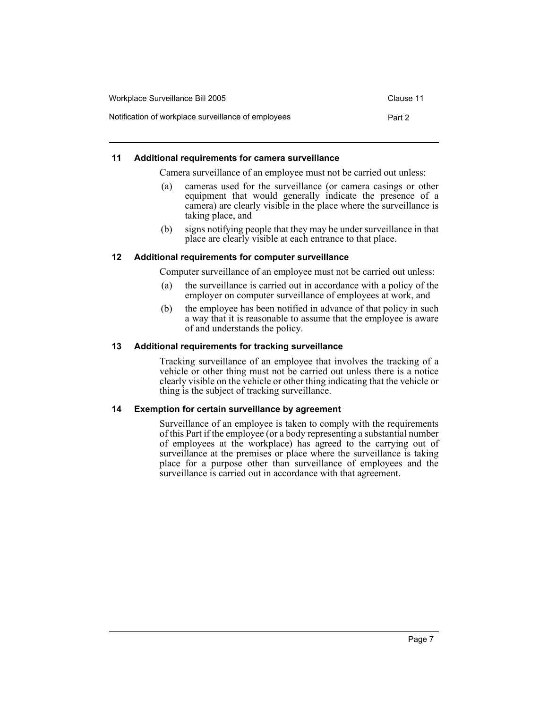| Workplace Surveillance Bill 2005                    | Clause 11 |
|-----------------------------------------------------|-----------|
| Notification of workplace surveillance of employees | Part 2    |

# <span id="page-9-0"></span>**11 Additional requirements for camera surveillance**

Camera surveillance of an employee must not be carried out unless:

- (a) cameras used for the surveillance (or camera casings or other equipment that would generally indicate the presence of a camera) are clearly visible in the place where the surveillance is taking place, and
- (b) signs notifying people that they may be under surveillance in that place are clearly visible at each entrance to that place.

# <span id="page-9-1"></span>**12 Additional requirements for computer surveillance**

Computer surveillance of an employee must not be carried out unless:

- (a) the surveillance is carried out in accordance with a policy of the employer on computer surveillance of employees at work, and
- (b) the employee has been notified in advance of that policy in such a way that it is reasonable to assume that the employee is aware of and understands the policy.

# <span id="page-9-2"></span>**13 Additional requirements for tracking surveillance**

Tracking surveillance of an employee that involves the tracking of a vehicle or other thing must not be carried out unless there is a notice clearly visible on the vehicle or other thing indicating that the vehicle or thing is the subject of tracking surveillance.

# <span id="page-9-3"></span>**14 Exemption for certain surveillance by agreement**

Surveillance of an employee is taken to comply with the requirements of this Part if the employee (or a body representing a substantial number of employees at the workplace) has agreed to the carrying out of surveillance at the premises or place where the surveillance is taking place for a purpose other than surveillance of employees and the surveillance is carried out in accordance with that agreement.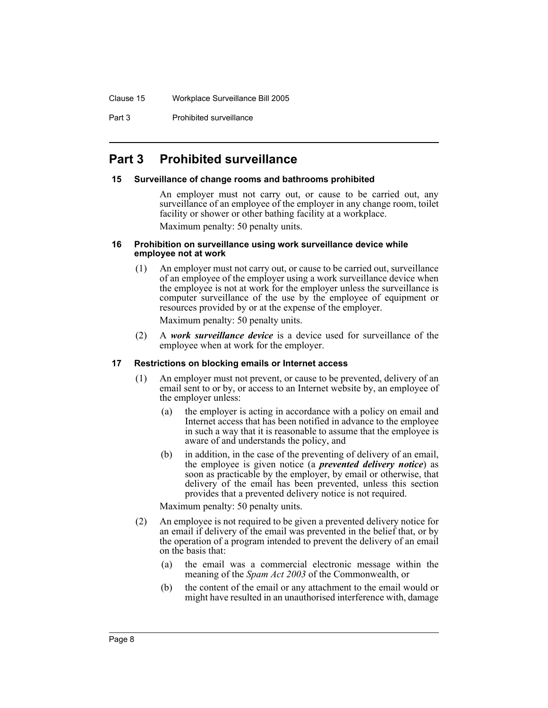Part 3 **Prohibited surveillance** 

# <span id="page-10-0"></span>**Part 3 Prohibited surveillance**

#### <span id="page-10-1"></span>**15 Surveillance of change rooms and bathrooms prohibited**

An employer must not carry out, or cause to be carried out, any surveillance of an employee of the employer in any change room, toilet facility or shower or other bathing facility at a workplace. Maximum penalty: 50 penalty units.

#### <span id="page-10-2"></span>**16 Prohibition on surveillance using work surveillance device while employee not at work**

- (1) An employer must not carry out, or cause to be carried out, surveillance of an employee of the employer using a work surveillance device when the employee is not at work for the employer unless the surveillance is computer surveillance of the use by the employee of equipment or resources provided by or at the expense of the employer. Maximum penalty: 50 penalty units.
- (2) A *work surveillance device* is a device used for surveillance of the employee when at work for the employer.

# <span id="page-10-3"></span>**17 Restrictions on blocking emails or Internet access**

- (1) An employer must not prevent, or cause to be prevented, delivery of an email sent to or by, or access to an Internet website by, an employee of the employer unless:
	- (a) the employer is acting in accordance with a policy on email and Internet access that has been notified in advance to the employee in such a way that it is reasonable to assume that the employee is aware of and understands the policy, and
	- (b) in addition, in the case of the preventing of delivery of an email, the employee is given notice (a *prevented delivery notice*) as soon as practicable by the employer, by email or otherwise, that delivery of the email has been prevented, unless this section provides that a prevented delivery notice is not required.

- (2) An employee is not required to be given a prevented delivery notice for an email if delivery of the email was prevented in the belief that, or by the operation of a program intended to prevent the delivery of an email on the basis that:
	- (a) the email was a commercial electronic message within the meaning of the *Spam Act 2003* of the Commonwealth, or
	- (b) the content of the email or any attachment to the email would or might have resulted in an unauthorised interference with, damage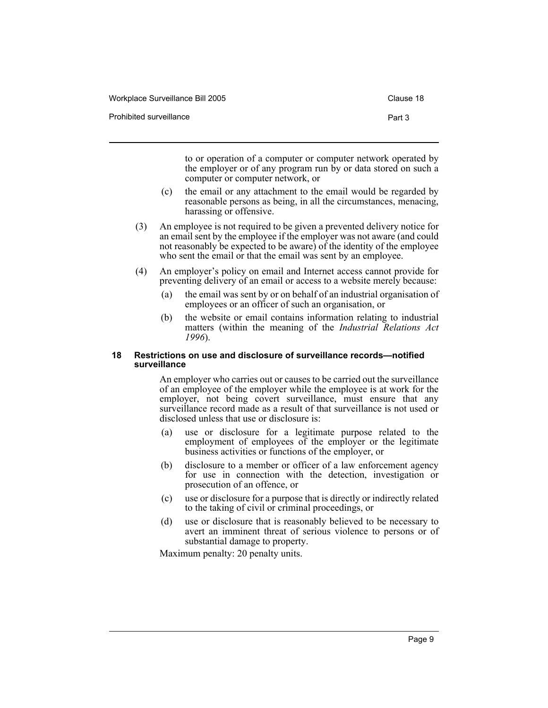| Workplace Surveillance Bill 2005 | Clause 18 |
|----------------------------------|-----------|
| Prohibited surveillance          | Part 3    |

to or operation of a computer or computer network operated by the employer or of any program run by or data stored on such a computer or computer network, or

- (c) the email or any attachment to the email would be regarded by reasonable persons as being, in all the circumstances, menacing, harassing or offensive.
- (3) An employee is not required to be given a prevented delivery notice for an email sent by the employee if the employer was not aware (and could not reasonably be expected to be aware) of the identity of the employee who sent the email or that the email was sent by an employee.
- (4) An employer's policy on email and Internet access cannot provide for preventing delivery of an email or access to a website merely because:
	- (a) the email was sent by or on behalf of an industrial organisation of employees or an officer of such an organisation, or
	- (b) the website or email contains information relating to industrial matters (within the meaning of the *Industrial Relations Act 1996*).

#### <span id="page-11-0"></span>**18 Restrictions on use and disclosure of surveillance records—notified surveillance**

An employer who carries out or causes to be carried out the surveillance of an employee of the employer while the employee is at work for the employer, not being covert surveillance, must ensure that any surveillance record made as a result of that surveillance is not used or disclosed unless that use or disclosure is:

- (a) use or disclosure for a legitimate purpose related to the employment of employees of the employer or the legitimate business activities or functions of the employer, or
- (b) disclosure to a member or officer of a law enforcement agency for use in connection with the detection, investigation or prosecution of an offence, or
- (c) use or disclosure for a purpose that is directly or indirectly related to the taking of civil or criminal proceedings, or
- (d) use or disclosure that is reasonably believed to be necessary to avert an imminent threat of serious violence to persons or of substantial damage to property.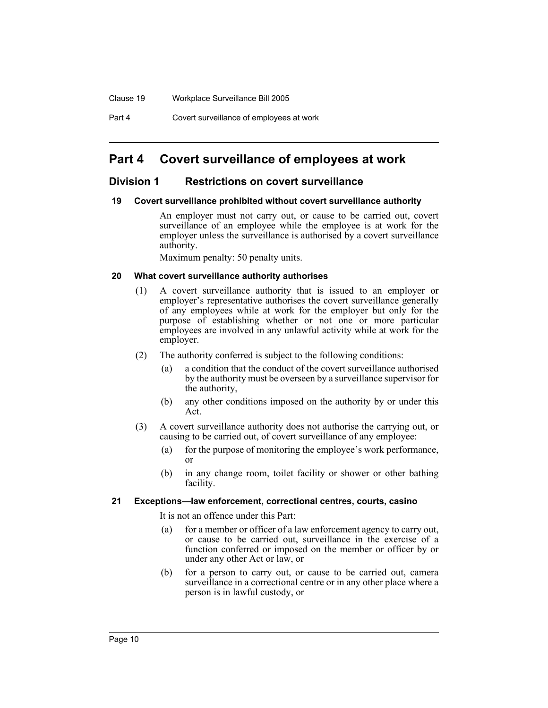Part 4 Covert surveillance of employees at work

# <span id="page-12-0"></span>**Part 4 Covert surveillance of employees at work**

# <span id="page-12-1"></span>**Division 1 Restrictions on covert surveillance**

### <span id="page-12-2"></span>**19 Covert surveillance prohibited without covert surveillance authority**

An employer must not carry out, or cause to be carried out, covert surveillance of an employee while the employee is at work for the employer unless the surveillance is authorised by a covert surveillance authority.

Maximum penalty: 50 penalty units.

### <span id="page-12-3"></span>**20 What covert surveillance authority authorises**

- (1) A covert surveillance authority that is issued to an employer or employer's representative authorises the covert surveillance generally of any employees while at work for the employer but only for the purpose of establishing whether or not one or more particular employees are involved in any unlawful activity while at work for the employer.
- (2) The authority conferred is subject to the following conditions:
	- (a) a condition that the conduct of the covert surveillance authorised by the authority must be overseen by a surveillance supervisor for the authority,
	- (b) any other conditions imposed on the authority by or under this Act.
- (3) A covert surveillance authority does not authorise the carrying out, or causing to be carried out, of covert surveillance of any employee:
	- (a) for the purpose of monitoring the employee's work performance, or
	- (b) in any change room, toilet facility or shower or other bathing facility.

#### <span id="page-12-4"></span>**21 Exceptions—law enforcement, correctional centres, courts, casino**

It is not an offence under this Part:

- (a) for a member or officer of a law enforcement agency to carry out, or cause to be carried out, surveillance in the exercise of a function conferred or imposed on the member or officer by or under any other Act or law, or
- (b) for a person to carry out, or cause to be carried out, camera surveillance in a correctional centre or in any other place where a person is in lawful custody, or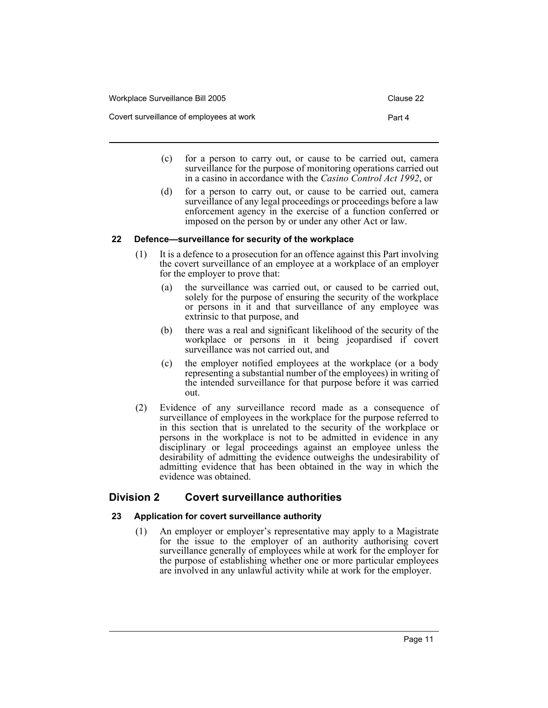| Workplace Surveillance Bill 2005         | Clause 22 |
|------------------------------------------|-----------|
| Covert surveillance of employees at work | Part 4    |

- (c) for a person to carry out, or cause to be carried out, camera surveillance for the purpose of monitoring operations carried out in a casino in accordance with the *Casino Control Act 1992*, or
- (d) for a person to carry out, or cause to be carried out, camera surveillance of any legal proceedings or proceedings before a law enforcement agency in the exercise of a function conferred or imposed on the person by or under any other Act or law.

# <span id="page-13-0"></span>**22 Defence—surveillance for security of the workplace**

- (1) It is a defence to a prosecution for an offence against this Part involving the covert surveillance of an employee at a workplace of an employer for the employer to prove that:
	- (a) the surveillance was carried out, or caused to be carried out, solely for the purpose of ensuring the security of the workplace or persons in it and that surveillance of any employee was extrinsic to that purpose, and
	- (b) there was a real and significant likelihood of the security of the workplace or persons in it being jeopardised if covert surveillance was not carried out, and
	- (c) the employer notified employees at the workplace (or a body representing a substantial number of the employees) in writing of the intended surveillance for that purpose before it was carried out.
- (2) Evidence of any surveillance record made as a consequence of surveillance of employees in the workplace for the purpose referred to in this section that is unrelated to the security of the workplace or persons in the workplace is not to be admitted in evidence in any disciplinary or legal proceedings against an employee unless the desirability of admitting the evidence outweighs the undesirability of admitting evidence that has been obtained in the way in which the evidence was obtained.

# <span id="page-13-2"></span><span id="page-13-1"></span>**Division 2 Covert surveillance authorities**

# **23 Application for covert surveillance authority**

(1) An employer or employer's representative may apply to a Magistrate for the issue to the employer of an authority authorising covert surveillance generally of employees while at work for the employer for the purpose of establishing whether one or more particular employees are involved in any unlawful activity while at work for the employer.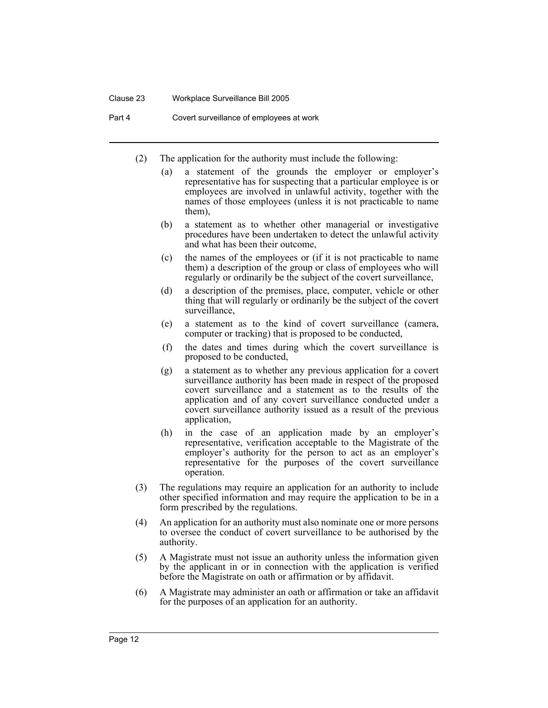#### Clause 23 Workplace Surveillance Bill 2005

Part 4 Covert surveillance of employees at work

- (2) The application for the authority must include the following:
	- (a) a statement of the grounds the employer or employer's representative has for suspecting that a particular employee is or employees are involved in unlawful activity, together with the names of those employees (unless it is not practicable to name them),
	- (b) a statement as to whether other managerial or investigative procedures have been undertaken to detect the unlawful activity and what has been their outcome,
	- (c) the names of the employees or (if it is not practicable to name them) a description of the group or class of employees who will regularly or ordinarily be the subject of the covert surveillance,
	- (d) a description of the premises, place, computer, vehicle or other thing that will regularly or ordinarily be the subject of the covert surveillance,
	- (e) a statement as to the kind of covert surveillance (camera, computer or tracking) that is proposed to be conducted,
	- (f) the dates and times during which the covert surveillance is proposed to be conducted,
	- (g) a statement as to whether any previous application for a covert surveillance authority has been made in respect of the proposed covert surveillance and a statement as to the results of the application and of any covert surveillance conducted under a covert surveillance authority issued as a result of the previous application,
	- (h) in the case of an application made by an employer's representative, verification acceptable to the Magistrate of the employer's authority for the person to act as an employer's representative for the purposes of the covert surveillance operation.
- (3) The regulations may require an application for an authority to include other specified information and may require the application to be in a form prescribed by the regulations.
- (4) An application for an authority must also nominate one or more persons to oversee the conduct of covert surveillance to be authorised by the authority.
- (5) A Magistrate must not issue an authority unless the information given by the applicant in or in connection with the application is verified before the Magistrate on oath or affirmation or by affidavit.
- (6) A Magistrate may administer an oath or affirmation or take an affidavit for the purposes of an application for an authority.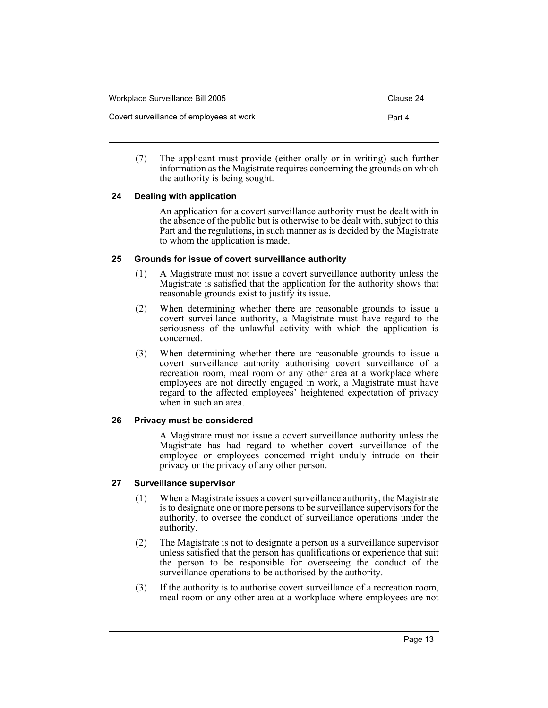| Workplace Surveillance Bill 2005         | Clause 24 |
|------------------------------------------|-----------|
| Covert surveillance of employees at work | Part 4    |

(7) The applicant must provide (either orally or in writing) such further information as the Magistrate requires concerning the grounds on which the authority is being sought.

# <span id="page-15-0"></span>**24 Dealing with application**

An application for a covert surveillance authority must be dealt with in the absence of the public but is otherwise to be dealt with, subject to this Part and the regulations, in such manner as is decided by the Magistrate to whom the application is made.

# <span id="page-15-1"></span>**25 Grounds for issue of covert surveillance authority**

- (1) A Magistrate must not issue a covert surveillance authority unless the Magistrate is satisfied that the application for the authority shows that reasonable grounds exist to justify its issue.
- (2) When determining whether there are reasonable grounds to issue a covert surveillance authority, a Magistrate must have regard to the seriousness of the unlawful activity with which the application is concerned.
- (3) When determining whether there are reasonable grounds to issue a covert surveillance authority authorising covert surveillance of a recreation room, meal room or any other area at a workplace where employees are not directly engaged in work, a Magistrate must have regard to the affected employees' heightened expectation of privacy when in such an area.

# <span id="page-15-2"></span>**26 Privacy must be considered**

A Magistrate must not issue a covert surveillance authority unless the Magistrate has had regard to whether covert surveillance of the employee or employees concerned might unduly intrude on their privacy or the privacy of any other person.

# <span id="page-15-3"></span>**27 Surveillance supervisor**

- (1) When a Magistrate issues a covert surveillance authority, the Magistrate is to designate one or more persons to be surveillance supervisors for the authority, to oversee the conduct of surveillance operations under the authority.
- (2) The Magistrate is not to designate a person as a surveillance supervisor unless satisfied that the person has qualifications or experience that suit the person to be responsible for overseeing the conduct of the surveillance operations to be authorised by the authority.
- (3) If the authority is to authorise covert surveillance of a recreation room, meal room or any other area at a workplace where employees are not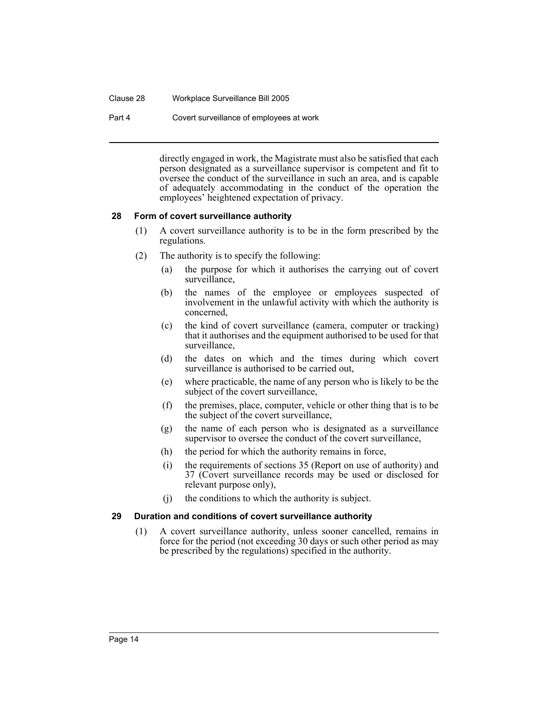#### Clause 28 Workplace Surveillance Bill 2005

Part 4 Covert surveillance of employees at work

directly engaged in work, the Magistrate must also be satisfied that each person designated as a surveillance supervisor is competent and fit to oversee the conduct of the surveillance in such an area, and is capable of adequately accommodating in the conduct of the operation the employees' heightened expectation of privacy.

# <span id="page-16-0"></span>**28 Form of covert surveillance authority**

- (1) A covert surveillance authority is to be in the form prescribed by the regulations.
- (2) The authority is to specify the following:
	- (a) the purpose for which it authorises the carrying out of covert surveillance,
	- (b) the names of the employee or employees suspected of involvement in the unlawful activity with which the authority is concerned,
	- (c) the kind of covert surveillance (camera, computer or tracking) that it authorises and the equipment authorised to be used for that surveillance,
	- (d) the dates on which and the times during which covert surveillance is authorised to be carried out,
	- (e) where practicable, the name of any person who is likely to be the subject of the covert surveillance,
	- (f) the premises, place, computer, vehicle or other thing that is to be the subject of the covert surveillance,
	- (g) the name of each person who is designated as a surveillance supervisor to oversee the conduct of the covert surveillance,
	- (h) the period for which the authority remains in force,
	- (i) the requirements of sections 35 (Report on use of authority) and 37 (Covert surveillance records may be used or disclosed for relevant purpose only),
	- (j) the conditions to which the authority is subject.

# <span id="page-16-1"></span>**29 Duration and conditions of covert surveillance authority**

(1) A covert surveillance authority, unless sooner cancelled, remains in force for the period (not exceeding 30 days or such other period as may be prescribed by the regulations) specified in the authority.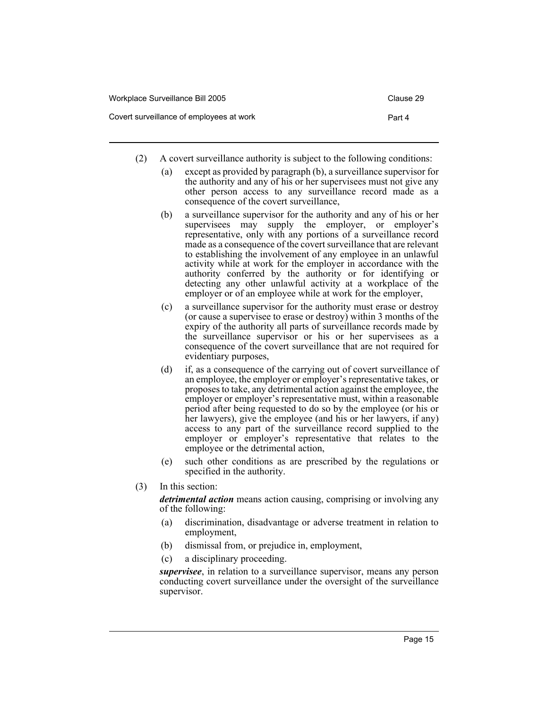| Workplace Surveillance Bill 2005         | Clause 29 |
|------------------------------------------|-----------|
| Covert surveillance of employees at work | Part 4    |

- (2) A covert surveillance authority is subject to the following conditions:
	- (a) except as provided by paragraph (b), a surveillance supervisor for the authority and any of his or her supervisees must not give any other person access to any surveillance record made as a consequence of the covert surveillance,
	- (b) a surveillance supervisor for the authority and any of his or her supervisees may supply the employer, or employer's representative, only with any portions of a surveillance record made as a consequence of the covert surveillance that are relevant to establishing the involvement of any employee in an unlawful activity while at work for the employer in accordance with the authority conferred by the authority or for identifying or detecting any other unlawful activity at a workplace of the employer or of an employee while at work for the employer,
	- (c) a surveillance supervisor for the authority must erase or destroy (or cause a supervisee to erase or destroy) within 3 months of the expiry of the authority all parts of surveillance records made by the surveillance supervisor or his or her supervisees as a consequence of the covert surveillance that are not required for evidentiary purposes,
	- (d) if, as a consequence of the carrying out of covert surveillance of an employee, the employer or employer's representative takes, or proposes to take, any detrimental action against the employee, the employer or employer's representative must, within a reasonable period after being requested to do so by the employee (or his or her lawyers), give the employee (and his or her lawyers, if any) access to any part of the surveillance record supplied to the employer or employer's representative that relates to the employee or the detrimental action,
	- (e) such other conditions as are prescribed by the regulations or specified in the authority.
- (3) In this section:

*detrimental action* means action causing, comprising or involving any of the following:

- (a) discrimination, disadvantage or adverse treatment in relation to employment,
- (b) dismissal from, or prejudice in, employment,
- (c) a disciplinary proceeding.

*supervisee*, in relation to a surveillance supervisor, means any person conducting covert surveillance under the oversight of the surveillance supervisor.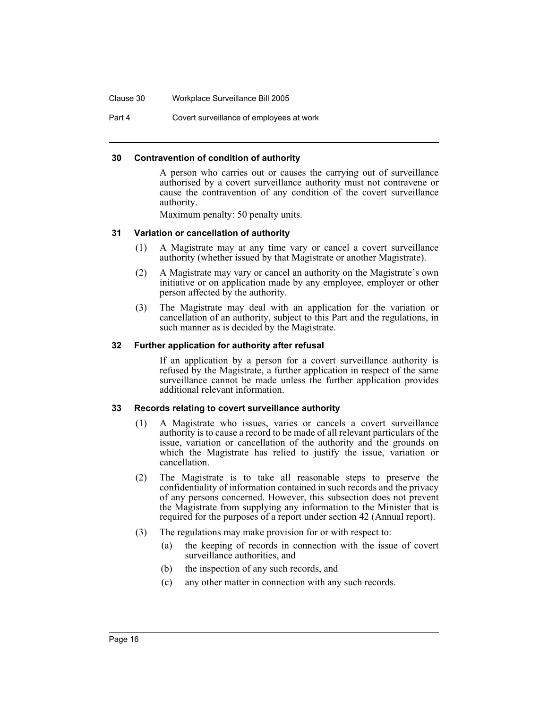Clause 30 Workplace Surveillance Bill 2005

Part 4 Covert surveillance of employees at work

### <span id="page-18-0"></span>**30 Contravention of condition of authority**

A person who carries out or causes the carrying out of surveillance authorised by a covert surveillance authority must not contravene or cause the contravention of any condition of the covert surveillance authority.

Maximum penalty: 50 penalty units.

### <span id="page-18-1"></span>**31 Variation or cancellation of authority**

- (1) A Magistrate may at any time vary or cancel a covert surveillance authority (whether issued by that Magistrate or another Magistrate).
- (2) A Magistrate may vary or cancel an authority on the Magistrate's own initiative or on application made by any employee, employer or other person affected by the authority.
- (3) The Magistrate may deal with an application for the variation or cancellation of an authority, subject to this Part and the regulations, in such manner as is decided by the Magistrate.

#### <span id="page-18-2"></span>**32 Further application for authority after refusal**

If an application by a person for a covert surveillance authority is refused by the Magistrate, a further application in respect of the same surveillance cannot be made unless the further application provides additional relevant information.

#### <span id="page-18-3"></span>**33 Records relating to covert surveillance authority**

- (1) A Magistrate who issues, varies or cancels a covert surveillance authority is to cause a record to be made of all relevant particulars of the issue, variation or cancellation of the authority and the grounds on which the Magistrate has relied to justify the issue, variation or cancellation.
- (2) The Magistrate is to take all reasonable steps to preserve the confidentiality of information contained in such records and the privacy of any persons concerned. However, this subsection does not prevent the Magistrate from supplying any information to the Minister that is required for the purposes of a report under section 42 (Annual report).
- (3) The regulations may make provision for or with respect to:
	- (a) the keeping of records in connection with the issue of covert surveillance authorities, and
	- (b) the inspection of any such records, and
	- (c) any other matter in connection with any such records.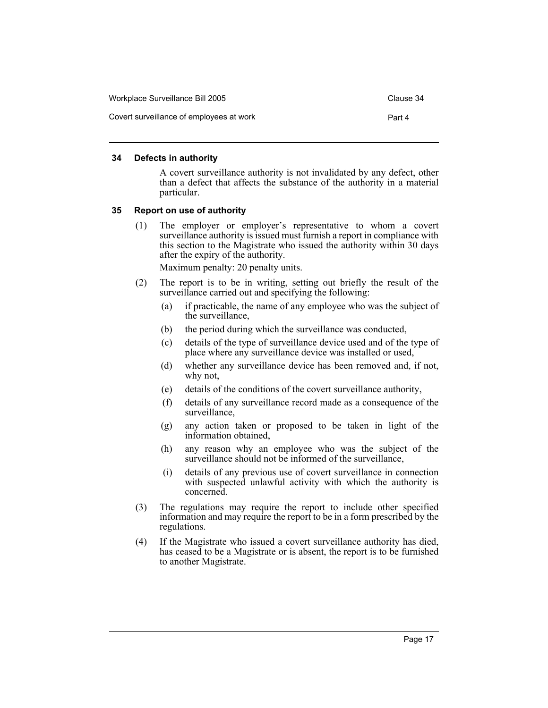| Workplace Surveillance Bill 2005         | Clause 34 |
|------------------------------------------|-----------|
| Covert surveillance of employees at work | Part 4    |

#### <span id="page-19-0"></span>**34 Defects in authority**

A covert surveillance authority is not invalidated by any defect, other than a defect that affects the substance of the authority in a material particular.

#### <span id="page-19-1"></span>**35 Report on use of authority**

(1) The employer or employer's representative to whom a covert surveillance authority is issued must furnish a report in compliance with this section to the Magistrate who issued the authority within 30 days after the expiry of the authority.

- (2) The report is to be in writing, setting out briefly the result of the surveillance carried out and specifying the following:
	- (a) if practicable, the name of any employee who was the subject of the surveillance,
	- (b) the period during which the surveillance was conducted,
	- (c) details of the type of surveillance device used and of the type of place where any surveillance device was installed or used,
	- (d) whether any surveillance device has been removed and, if not, why not,
	- (e) details of the conditions of the covert surveillance authority,
	- (f) details of any surveillance record made as a consequence of the surveillance,
	- (g) any action taken or proposed to be taken in light of the information obtained,
	- (h) any reason why an employee who was the subject of the surveillance should not be informed of the surveillance,
	- (i) details of any previous use of covert surveillance in connection with suspected unlawful activity with which the authority is concerned.
- (3) The regulations may require the report to include other specified information and may require the report to be in a form prescribed by the regulations.
- (4) If the Magistrate who issued a covert surveillance authority has died, has ceased to be a Magistrate or is absent, the report is to be furnished to another Magistrate.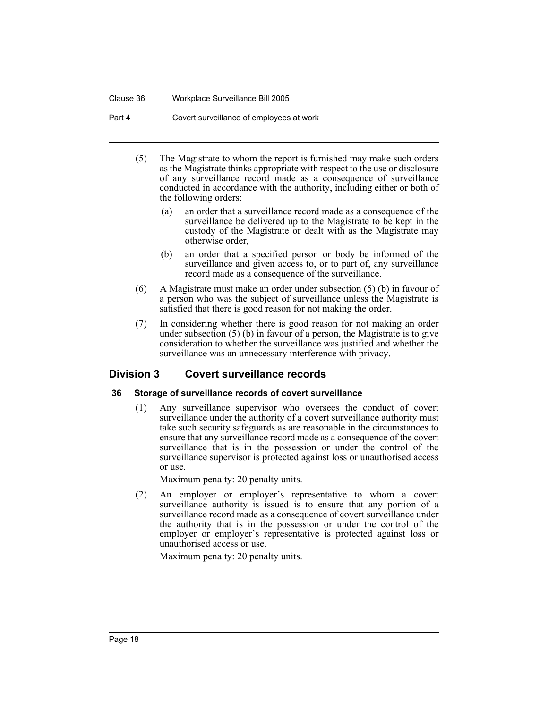### Clause 36 Workplace Surveillance Bill 2005

Part 4 Covert surveillance of employees at work

- (5) The Magistrate to whom the report is furnished may make such orders as the Magistrate thinks appropriate with respect to the use or disclosure of any surveillance record made as a consequence of surveillance conducted in accordance with the authority, including either or both of the following orders:
	- (a) an order that a surveillance record made as a consequence of the surveillance be delivered up to the Magistrate to be kept in the custody of the Magistrate or dealt with as the Magistrate may otherwise order,
	- (b) an order that a specified person or body be informed of the surveillance and given access to, or to part of, any surveillance record made as a consequence of the surveillance.
- (6) A Magistrate must make an order under subsection (5) (b) in favour of a person who was the subject of surveillance unless the Magistrate is satisfied that there is good reason for not making the order.
- (7) In considering whether there is good reason for not making an order under subsection (5) (b) in favour of a person, the Magistrate is to give consideration to whether the surveillance was justified and whether the surveillance was an unnecessary interference with privacy.

# <span id="page-20-1"></span><span id="page-20-0"></span>**Division 3 Covert surveillance records**

# **36 Storage of surveillance records of covert surveillance**

(1) Any surveillance supervisor who oversees the conduct of covert surveillance under the authority of a covert surveillance authority must take such security safeguards as are reasonable in the circumstances to ensure that any surveillance record made as a consequence of the covert surveillance that is in the possession or under the control of the surveillance supervisor is protected against loss or unauthorised access or use.

Maximum penalty: 20 penalty units.

(2) An employer or employer's representative to whom a covert surveillance authority is issued is to ensure that any portion of a surveillance record made as a consequence of covert surveillance under the authority that is in the possession or under the control of the employer or employer's representative is protected against loss or unauthorised access or use.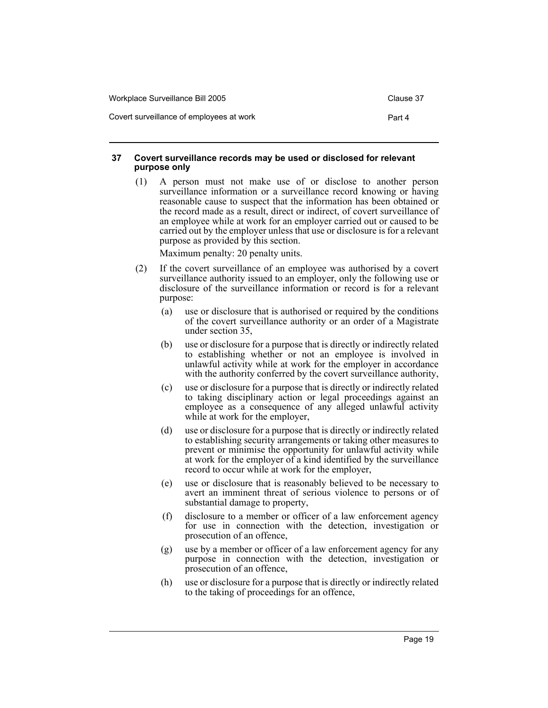| Workplace Surveillance Bill 2005         | Clause 37 |
|------------------------------------------|-----------|
| Covert surveillance of employees at work | Part 4    |

### <span id="page-21-0"></span>**37 Covert surveillance records may be used or disclosed for relevant purpose only**

(1) A person must not make use of or disclose to another person surveillance information or a surveillance record knowing or having reasonable cause to suspect that the information has been obtained or the record made as a result, direct or indirect, of covert surveillance of an employee while at work for an employer carried out or caused to be carried out by the employer unless that use or disclosure is for a relevant purpose as provided by this section.

- (2) If the covert surveillance of an employee was authorised by a covert surveillance authority issued to an employer, only the following use or disclosure of the surveillance information or record is for a relevant purpose:
	- (a) use or disclosure that is authorised or required by the conditions of the covert surveillance authority or an order of a Magistrate under section 35,
	- (b) use or disclosure for a purpose that is directly or indirectly related to establishing whether or not an employee is involved in unlawful activity while at work for the employer in accordance with the authority conferred by the covert surveillance authority,
	- (c) use or disclosure for a purpose that is directly or indirectly related to taking disciplinary action or legal proceedings against an employee as a consequence of any alleged unlawful activity while at work for the employer,
	- (d) use or disclosure for a purpose that is directly or indirectly related to establishing security arrangements or taking other measures to prevent or minimise the opportunity for unlawful activity while at work for the employer  $\hat{f}$  a kind identified by the surveillance record to occur while at work for the employer,
	- (e) use or disclosure that is reasonably believed to be necessary to avert an imminent threat of serious violence to persons or of substantial damage to property,
	- (f) disclosure to a member or officer of a law enforcement agency for use in connection with the detection, investigation or prosecution of an offence,
	- (g) use by a member or officer of a law enforcement agency for any purpose in connection with the detection, investigation or prosecution of an offence,
	- (h) use or disclosure for a purpose that is directly or indirectly related to the taking of proceedings for an offence,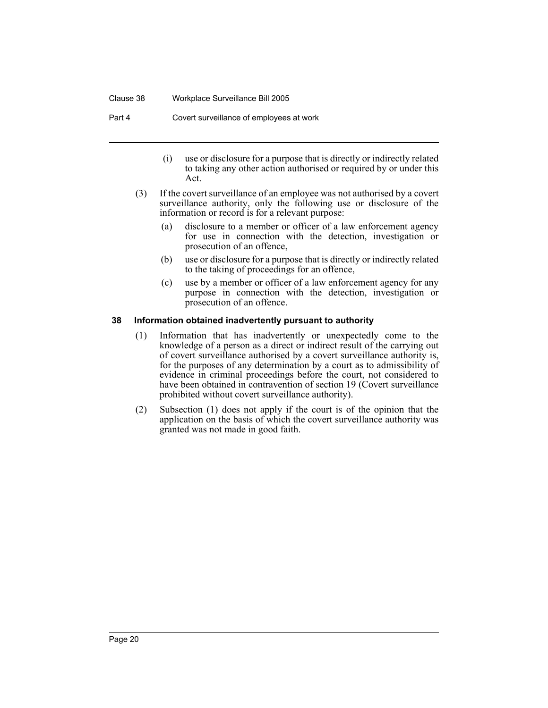#### Clause 38 Workplace Surveillance Bill 2005

Part 4 Covert surveillance of employees at work

- (i) use or disclosure for a purpose that is directly or indirectly related to taking any other action authorised or required by or under this Act.
- (3) If the covert surveillance of an employee was not authorised by a covert surveillance authority, only the following use or disclosure of the information or record is for a relevant purpose:
	- (a) disclosure to a member or officer of a law enforcement agency for use in connection with the detection, investigation or prosecution of an offence,
	- (b) use or disclosure for a purpose that is directly or indirectly related to the taking of proceedings for an offence,
	- (c) use by a member or officer of a law enforcement agency for any purpose in connection with the detection, investigation or prosecution of an offence.

### <span id="page-22-0"></span>**38 Information obtained inadvertently pursuant to authority**

- (1) Information that has inadvertently or unexpectedly come to the knowledge of a person as a direct or indirect result of the carrying out of covert surveillance authorised by a covert surveillance authority is, for the purposes of any determination by a court as to admissibility of evidence in criminal proceedings before the court, not considered to have been obtained in contravention of section 19 (Covert surveillance prohibited without covert surveillance authority).
- (2) Subsection (1) does not apply if the court is of the opinion that the application on the basis of which the covert surveillance authority was granted was not made in good faith.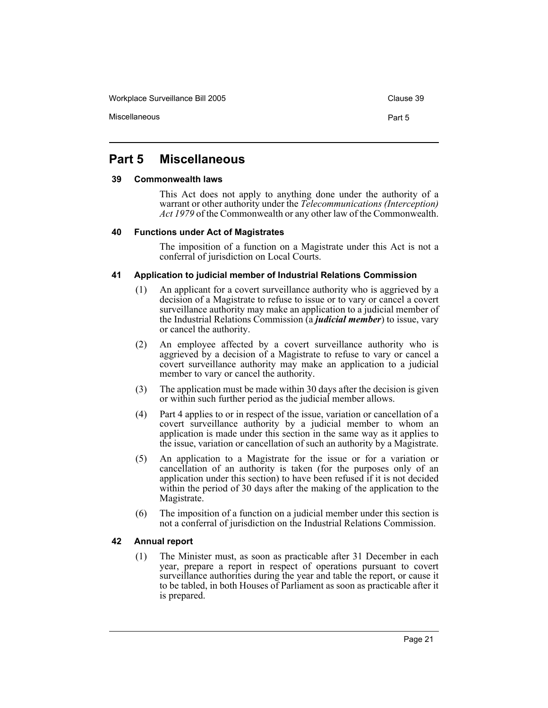Workplace Surveillance Bill 2005 Clause 39

# <span id="page-23-0"></span>**Part 5 Miscellaneous**

### <span id="page-23-1"></span>**39 Commonwealth laws**

This Act does not apply to anything done under the authority of a warrant or other authority under the *Telecommunications (Interception) Act 1979* of the Commonwealth or any other law of the Commonwealth.

# <span id="page-23-2"></span>**40 Functions under Act of Magistrates**

The imposition of a function on a Magistrate under this Act is not a conferral of jurisdiction on Local Courts.

# <span id="page-23-3"></span>**41 Application to judicial member of Industrial Relations Commission**

- (1) An applicant for a covert surveillance authority who is aggrieved by a decision of a Magistrate to refuse to issue or to vary or cancel a covert surveillance authority may make an application to a judicial member of the Industrial Relations Commission (a *judicial member*) to issue, vary or cancel the authority.
- (2) An employee affected by a covert surveillance authority who is aggrieved by a decision of a Magistrate to refuse to vary or cancel a covert surveillance authority may make an application to a judicial member to vary or cancel the authority.
- (3) The application must be made within 30 days after the decision is given or within such further period as the judicial member allows.
- (4) Part 4 applies to or in respect of the issue, variation or cancellation of a covert surveillance authority by a judicial member to whom an application is made under this section in the same way as it applies to the issue, variation or cancellation of such an authority by a Magistrate.
- (5) An application to a Magistrate for the issue or for a variation or cancellation of an authority is taken (for the purposes only of an application under this section) to have been refused if it is not decided within the period of 30 days after the making of the application to the Magistrate.
- (6) The imposition of a function on a judicial member under this section is not a conferral of jurisdiction on the Industrial Relations Commission.

# <span id="page-23-4"></span>**42 Annual report**

(1) The Minister must, as soon as practicable after 31 December in each year, prepare a report in respect of operations pursuant to covert surveillance authorities during the year and table the report, or cause it to be tabled, in both Houses of Parliament as soon as practicable after it is prepared.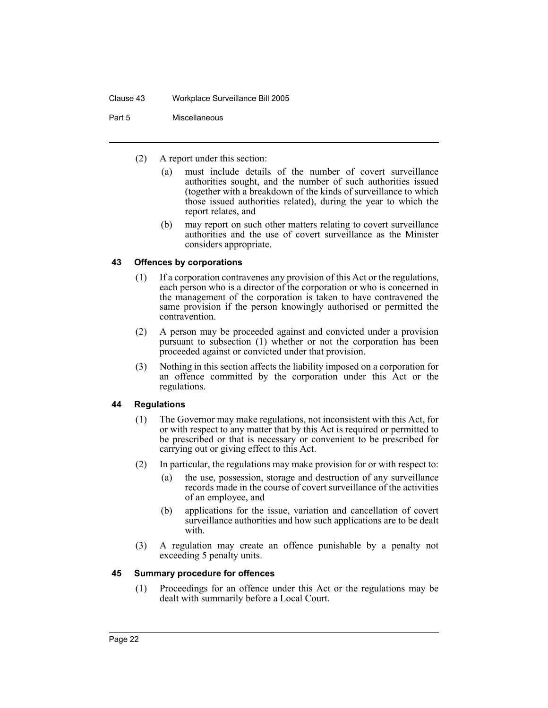Part 5 Miscellaneous

- (2) A report under this section:
	- (a) must include details of the number of covert surveillance authorities sought, and the number of such authorities issued (together with a breakdown of the kinds of surveillance to which those issued authorities related), during the year to which the report relates, and
	- (b) may report on such other matters relating to covert surveillance authorities and the use of covert surveillance as the Minister considers appropriate.

# <span id="page-24-0"></span>**43 Offences by corporations**

- (1) If a corporation contravenes any provision of this Act or the regulations, each person who is a director of the corporation or who is concerned in the management of the corporation is taken to have contravened the same provision if the person knowingly authorised or permitted the contravention.
- (2) A person may be proceeded against and convicted under a provision pursuant to subsection (1) whether or not the corporation has been proceeded against or convicted under that provision.
- (3) Nothing in this section affects the liability imposed on a corporation for an offence committed by the corporation under this Act or the regulations.

# <span id="page-24-1"></span>**44 Regulations**

- (1) The Governor may make regulations, not inconsistent with this Act, for or with respect to any matter that by this Act is required or permitted to be prescribed or that is necessary or convenient to be prescribed for carrying out or giving effect to this Act.
- (2) In particular, the regulations may make provision for or with respect to:
	- (a) the use, possession, storage and destruction of any surveillance records made in the course of covert surveillance of the activities of an employee, and
	- (b) applications for the issue, variation and cancellation of covert surveillance authorities and how such applications are to be dealt with.
- (3) A regulation may create an offence punishable by a penalty not exceeding 5 penalty units.

# <span id="page-24-2"></span>**45 Summary procedure for offences**

(1) Proceedings for an offence under this Act or the regulations may be dealt with summarily before a Local Court.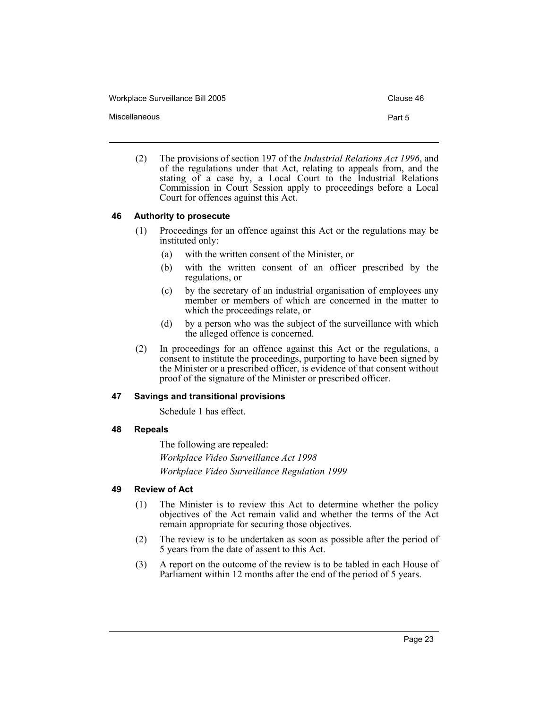Workplace Surveillance Bill 2005 Clause 46

Miscellaneous **Part 5** 

(2) The provisions of section 197 of the *Industrial Relations Act 1996*, and of the regulations under that Act, relating to appeals from, and the stating of a case by, a Local Court to the Industrial Relations Commission in Court Session apply to proceedings before a Local Court for offences against this Act.

# <span id="page-25-0"></span>**46 Authority to prosecute**

- (1) Proceedings for an offence against this Act or the regulations may be instituted only:
	- (a) with the written consent of the Minister, or
	- (b) with the written consent of an officer prescribed by the regulations, or
	- (c) by the secretary of an industrial organisation of employees any member or members of which are concerned in the matter to which the proceedings relate, or
	- (d) by a person who was the subject of the surveillance with which the alleged offence is concerned.
- (2) In proceedings for an offence against this Act or the regulations, a consent to institute the proceedings, purporting to have been signed by the Minister or a prescribed officer, is evidence of that consent without proof of the signature of the Minister or prescribed officer.

#### <span id="page-25-1"></span>**47 Savings and transitional provisions**

Schedule 1 has effect.

# <span id="page-25-2"></span>**48 Repeals**

The following are repealed: *Workplace Video Surveillance Act 1998 Workplace Video Surveillance Regulation 1999*

# <span id="page-25-3"></span>**49 Review of Act**

- (1) The Minister is to review this Act to determine whether the policy objectives of the Act remain valid and whether the terms of the Act remain appropriate for securing those objectives.
- (2) The review is to be undertaken as soon as possible after the period of 5 years from the date of assent to this Act.
- (3) A report on the outcome of the review is to be tabled in each House of Parliament within 12 months after the end of the period of 5 years.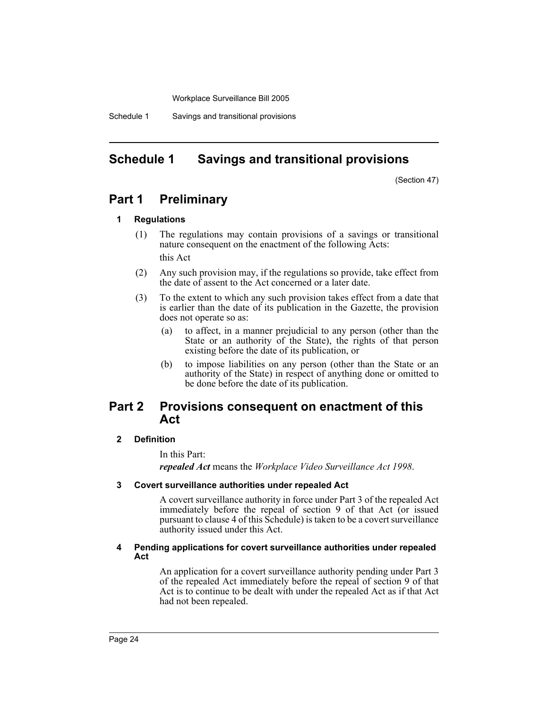Workplace Surveillance Bill 2005

Schedule 1 Savings and transitional provisions

# <span id="page-26-0"></span>**Schedule 1 Savings and transitional provisions**

(Section 47)

# **Part 1 Preliminary**

#### **1 Regulations**

- (1) The regulations may contain provisions of a savings or transitional nature consequent on the enactment of the following Acts: this Act
- (2) Any such provision may, if the regulations so provide, take effect from the date of assent to the Act concerned or a later date.
- (3) To the extent to which any such provision takes effect from a date that is earlier than the date of its publication in the Gazette, the provision does not operate so as:
	- (a) to affect, in a manner prejudicial to any person (other than the State or an authority of the State), the rights of that person existing before the date of its publication, or
	- (b) to impose liabilities on any person (other than the State or an authority of the State) in respect of anything done or omitted to be done before the date of its publication.

# **Part 2 Provisions consequent on enactment of this Act**

#### **2 Definition**

In this Part:

*repealed Act* means the *Workplace Video Surveillance Act 1998*.

#### **3 Covert surveillance authorities under repealed Act**

A covert surveillance authority in force under Part 3 of the repealed Act immediately before the repeal of section 9 of that Act (or issued pursuant to clause 4 of this Schedule) is taken to be a covert surveillance authority issued under this Act.

#### **4 Pending applications for covert surveillance authorities under repealed Act**

An application for a covert surveillance authority pending under Part 3 of the repealed Act immediately before the repeal of section 9 of that Act is to continue to be dealt with under the repealed Act as if that Act had not been repealed.